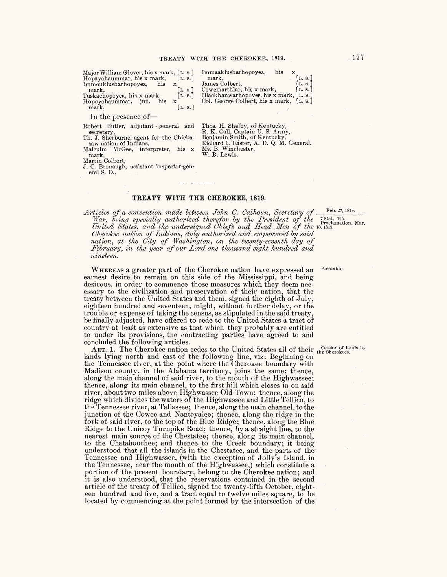| Major William Glover, his x mark, [L. s.]<br>Hopayahaummar, his x mark,<br>[L, S.]<br>Immouklusharhopoyea,<br>his<br>x<br>[L. s.]<br>mark,<br>Tuskaehopoyea, his x mark,<br>$\lceil$ L. s. $\rceil$<br>Hopovahaummar, jun.<br>his<br>x<br>[L. 8.]<br>mark, | Immaaklusharhopoyea,<br>his<br>[L. s.]<br>[L. s.]<br>mark.<br>James Colbert.<br>L. s. ]<br>Cowemarthlar, his x mark,<br>Illackhanwarhopoyes, his x mark, [L. s.]<br>Col. George Colbert, his x mark, [L. s.] |
|------------------------------------------------------------------------------------------------------------------------------------------------------------------------------------------------------------------------------------------------------------|--------------------------------------------------------------------------------------------------------------------------------------------------------------------------------------------------------------|
| In the presence of $-$                                                                                                                                                                                                                                     |                                                                                                                                                                                                              |
| Robert Butler, adjutant general and<br>secretary,<br>Th. J. Sherburne, agent for the Chicka-<br>saw nation of Indians,                                                                                                                                     | Thos. H. Shelby, of Kentucky,<br>R. K. Call, Captain U. S. Army,<br>Benjamin Smith, of Kentucky,<br>Richard I. Easter, A. D. Q. M. General.                                                                  |
| Malculm McGee, interpreter,<br>his x                                                                                                                                                                                                                       | Ms. B. Winchester.                                                                                                                                                                                           |

Malcolm McGee, interpreter, his x mark, Martin Colbert,

J. C. Bronaugh, assistant inspector-gen-

eral S. D.,

Ms. B. Winchester, W. B. Lewis.

## **TREATY WITH THE CHEROKEE, 1819.**

*Articles of a convention made between John C. Calhoun, Secretary of* Feb. 27, 1819.<br>War, being specially authorized therefor by the President of the <sup>75tat, 195</sup>. *United States, and the undersigned Chiefs and Head Men of the* 10, 1819. *Olierokee nation of Indians, duly aittlwrized and empowered by said nation, at the City of Washington, on the twenty-seventh day of February, in the year of our Lord one thousand eight hundred and nineteen.* 

WHEREAS a greater part of the Cherokee nation have expressed an <sup>Preamble.</sup> earnest desire to remain on this side of the Mississippi, and being desirous, in order to commence those measures which they deem necessary to the civilization and preservation of their nation, that the treaty between the United States and them, signed the eighth of July, eighteen hundred and seventeen, might, without further delay, or the trouble or expense of taking the census, as stipulated in the said treaty, be finally adjusted, have offered to cede to the United States a tract of country at least as extensive as that which they probably are entitled to under its provisions, the contracting parties have agreed to and concluded the following articles.

ART. 1. The Cherokee nation cedes to the United States all of their the Cherokees. lands lying north and east of the following line, viz: Beginning on the Tennessee river, at the point where the Cherokee boundary with Madison county, in the Alabama territory, joins the same; thence, along the main channel of said river, to the mouth of the Highwassee; thence, along its main channel, to the first hill which closes in on said river, about two miles above Highwassee Old Town; thence, along the ridge which divides the waters of the Highwassee and Little Tellico, to the Tennessee river, at Tallassee; thence, along the main channel, to the junction of the Cowee and Nanteyalee; thence, along the ridge in the fork of said river, to the top of the Blue Ridge; thence, along the Blue Ridge to the Unicoy Turnpike Road; thence, by a straight line, to the nearest main source of the Chestatee; thence, along its main channel, to the Chatahouchee; and thence to the Creek boundary; it being understood that all the islands in the Chestatee, and the parts of the Tennessee and Highwassee, (with the exception of Jolly's Island, in the Tennessee, near the mouth of the Highwassee,) which constitute a portion of the present boundary, belong to the Cherokee nation; and it is also understood, that the reservations contained in the second article of the treaty of Tellico, signed the twenty-fifth October, eighteen hundred and five, and a tract equal to twelve miles square, to be located by commencing at the point formed by the intersection of the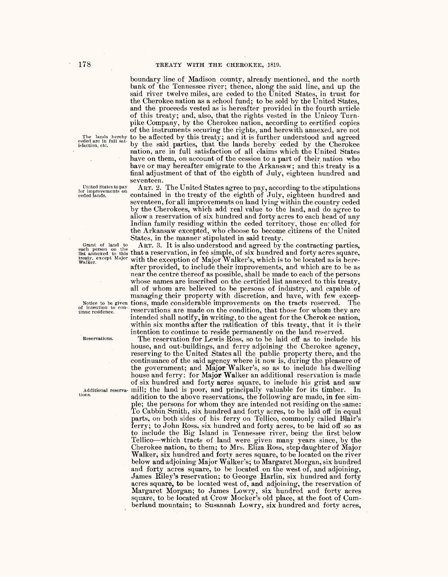boundary line of Madison county, already mentioned, and the north bank of the Tennessee river; thence, along the said line, and up the said river twelve miles, are ceded to the United States, in trust for the Cherokee nation as a school fund; to be sold by the United States, and the proceeds vested as is hereafter provided in the fourth article of this treaty; and, also, that the rights vested in the Unicoy Turnpike Company, by the Cherokee nation, according to certified copies of the instruments securing the rights, and herewith annexed, are not The lands hereby to be affected by this treaty; and it is further understood and agreed eeded are in full sat-<br>by the said parties, that the lands hereby ceded by the Cherokee by the said parties, that the lands hereby ceded by the Cherokee nation, are in full satisfaction of all claims which the United States have on them, on account of the cession to a part of their nation who have or may hereafter emigrate to the Arkansaw; and this treaty is a final adjustment of that of the eighth of July, eighteen hundred and seventeen.

United States to pay ART. 2. The United States agree to pay, according to the stipulations for improvements on contained in the treaty of the eighth of *July*, eighteen hundred and seventeen, for all improvements on land lying within the country ceded by the Cherokees, which add real value to the land, and do agree to allow a reservation of six hundred and forty acres to each head of any Indian family residing within the ceded territory, those enrolled for the Arkansaw excepted, who choose to become citizens of the United States, in the manner stipulated in said treaty.

Grant of land to ART. 3. It is also understood and agreed by the contracting parties, each person on the that a reservation, in fee simple, of six hundred and forty acres square,  $_{\rm{weak,~except~Major}}$  with the exception of Major Walker's, which is to be located as is hereafter provided, to include their improvements, and which are to be as near the centre thereof as possible, shall be made to each of the persons whose names are inscribed on the certified list annexed to this treaty, all of whom are believed to be persons of industry, and capable of managing their property with discretion, and have, with few exceptions. made considerable improvements on the tracts reserved. The Notice to be given tions, made considerable improvements on the tracts reserved. The of intention to con- treatly, make contribution in provisions on the chapter value of  $\frac{1}{100}$  reservations are made on the condition, that those for whom they are intended shall notify, in writing, to the agent for the Cherokee nation, within six months after the ratification of this treaty, that it is their intention to continue to reside permanently on the land reserved.

Reservations. The reservation for Lewis Ross, so to be laid off as to include his house, and out-buildings, and ferry adjoining the Cherokee agency, reserving to the United States all the public property there, and the continuance of the said agency where it now is, during the pleasure of the government; and **Major** Walker's, so as to include his dwelling house and ferry: for Major Walker an additional reservation is made of six hundred and forty acres square, to include his grist and saw Additional reserva- mill; the land is poor, and principally valuable for its timber. In<br>tions. addition to the above reservations, the following are made, in fee simple; the persons for whom they are intended not residing on the same: To Cabbin Smith, six hundred and forty acres, to be laid off in equal parts, on both sides of his ferry on Tellico, commonly called Blair's ferry; to John Ross, six hundred and forty acres, to be laid off so as to include the Big Island in Tennessee river, being the first below Tellico—which tracts of land were given many years since, by the Cherokee nation, to them; to Mrs. Eliza Ross, step daughter of Major Walker; six hundred and forty acres square, to be located on the river below and adjoining Major Walker's; to Margaret Morgan, six hundred and forty acres square, to be located on the west of, and adjoining, James Riley's reservation; to George Harlin, six hundred and forty acres square, to be located west of, and adjoining, the reservation of Margaret Morgan; to James Lowry, six hundred and forty acres square, to be located at Crow Mocker's old place, at the foot of Cumberland mountain; to Susannah Lowry, six hundred and forty acres,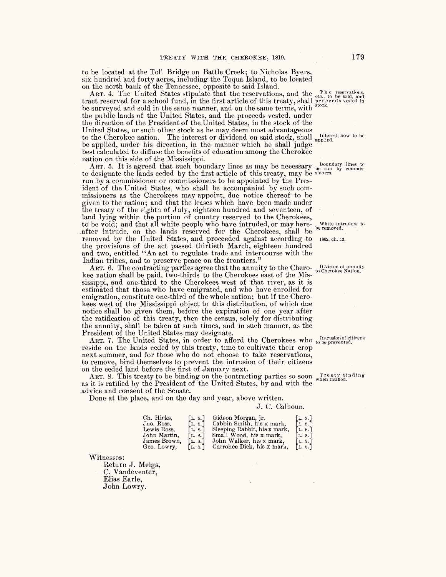to be located at the Toll Bridge on Battle Creek; to Nicholas Byers, six hundred and forty acres, including the Toqua Island, to be located on the north bank of the Tennessee, opposite to said Island.

ART. 4. The United States stipulate that the reservations, and the  $_{\text{et}}$ <sup>The reservations</sup> tract reserved for a school fund, in the first article of this treaty, shall proceeds vested in the summer and on the same term be surveyed and sold in the same manner, and on the same terms, with the public lands of the United States, and the proceeds vested, under the direction of the President of the United States, in the stock of the United States, or such other stock as he may deem most advantageous to the Cherokee nation. The interest or dividend on said stock, shall applied.<br>be applied, under his direction, in the manner which he shall judge best calculated to diffuse the benefits of education among the Cherokee nation on this side of the Mississippi. nation on this side of the Mississippi.  $A_{\rm RT}$ .  $5$ . It is agreed that such boundary lines as may be necessary be run by commis-

to designate the lands ceded by the first article of this treaty, may be sioners. run by a commissioner or commissioners to be appointed by the President of the United States, who shall be accompanied by such commissioners as the Cherokees may appoint, due notice thereof to be given to the nation; and that the leases which have been made under the treaty of the eighth of July, eighteen hundred and seventeen, of land lying within the portion of country reserved to the Cherokees, to be void; and that all white people who have intruded, or may here- White intruders to after intrude, on the lands reserved for the Cherokees, shall be removed by the United States, and proceeded against according to 1802, ch. 13. the provisions of the act passed thirtieth March, eighteen hundred and two, entitled "An act to regulate trade and intercourse with the Indian tribes, and to preserve peace on the frontiers."

ART. 6. The contracting parties agree that the annuity to the Chero- to Cherokee Nation. kee nation shall be paid, two-thirds to the Cherokees east of the Mississippi, and one-third to the Cherokees west of that river, as it is estimated that those who have emigrated, and who have enrolled for emigration, constitute one-third of the whole nation; but if the Cherokees west of the Mississippi object to this distribution, of which due notice shall be given them, before the expiration of one year after the ratification of this treaty, then the census, solely for distributing the annuity, shall be taken at such times, and in such manner, as the President of the United States may designate.

ART. 7. The United States, in order to afford the Cherokees who <sub>to be prevented</sub>. reside on the lands ceded by this treaty, time to cultivate their crop next summer, and for those who do not choose to take reservations, to remove, bind themselves to prevent the intrusion of their citizens on the ceded land before the first of January next.

ART. 8. This treaty to be binding on the contracting parties so soon when ratified. as it is ratified by the President of the United States, by and with the advice and consent of the Senate.

Done at the place, and on the day and year, above written.

J. C. Calhoun.

| Ch. Hicks.   | [L, S]                    | Gideon Morgan, jr.           | [L. S.                  |
|--------------|---------------------------|------------------------------|-------------------------|
| Jno. Ross,   | [L, S.]                   | Cabbin Smith, his x mark,    | [L.S.]                  |
| Lewis Ross.  | $\lfloor$ L, S, $\rfloor$ | Sleeping Rabbit, his x mark, | 1 L.S.I                 |
| John Martin. | [L. S.]                   | Small Wood, his x mark,      | L. S.                   |
| James Brown, | [L. s.]                   | John Walker, his x mark,     | L. S.                   |
| Geo. Lowry,  | [L. S.                    | Currohee Dick, his x mark,   | $\lfloor L, s. \rfloor$ |

Witnesses:

Return J. Meigs, C. Vandeventer, Elias Earle, John Lowry.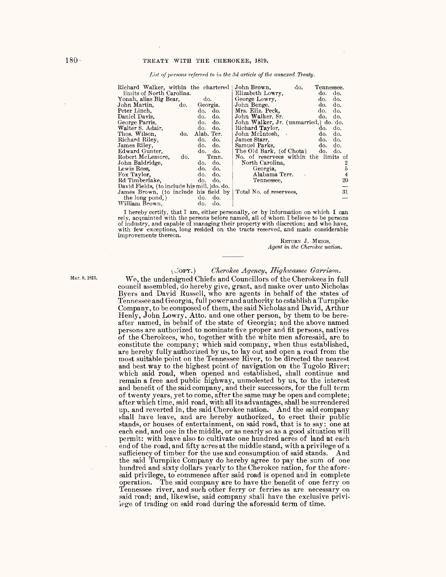|  |  |  |  | List of persons referred to in the 3d article of the annexed Treaty. |
|--|--|--|--|----------------------------------------------------------------------|
|--|--|--|--|----------------------------------------------------------------------|

| Richard Walker, within the chartered<br>limits of North Carolina. |                                             | John Brown,<br>Elizabeth Lowry,       | do. | Tennessee.<br>$\phi$ . do. |               |
|-------------------------------------------------------------------|---------------------------------------------|---------------------------------------|-----|----------------------------|---------------|
| Yonah, alias Big Bear,                                            | do.                                         | George Lowry,                         |     | do.<br>do.                 |               |
| John Martin,                                                      | do.<br>Georgia.                             | John Benge,                           |     | do.<br>do.                 |               |
| Peter Linch.                                                      | do. do.                                     | Mrs. Eliz. Peck,                      |     | do.<br>do.                 |               |
| Daniel Davis,                                                     | do.<br>do.                                  | John Walker, Sr.                      |     | do.<br>do.                 |               |
| George Parris,                                                    | $\qquad \qquad \text{do.} \quad \text{do.}$ | John Walker, Jr. (unmarried,) do. do. |     |                            |               |
| Walter S. Adair,                                                  | do.<br>do.                                  | Richard Taylor,                       |     | do.<br>do.                 |               |
| Thos. Wilson,                                                     | Alab. Ter.<br>do.                           | John McIntosh, .                      |     | do.<br>do.                 |               |
| Richard Riley,                                                    | do. do.                                     | James Starr,                          |     | do.<br>do.                 |               |
| James Riley,                                                      | do.<br>- do.                                | Samuel Parks,                         |     | do.<br>do.                 |               |
| Edward Gunter,                                                    | $\phi$ . do.                                | The Old Bark, (of Chota) do.          |     | do.                        |               |
| Robert McLemore,                                                  | Tenn.<br>do.                                | No. of reservees within the limits of |     |                            |               |
| John Baldridge,                                                   | do.<br>$\qquad \qquad \text{do.}$           | North Carolina,                       |     |                            | 2             |
| Lewis Ross.                                                       |                                             |                                       |     |                            |               |
|                                                                   | $\phi$ . $\phi$ .                           | Georgia,                              |     |                            | $\frac{5}{4}$ |
| Fox Taylor,                                                       | do. do.                                     | Alabama Terr.                         |     |                            |               |
| Rd Timberlake,                                                    | $\phi$ . $\phi$ .                           | Tennessee,                            |     |                            | 20            |
| David Fields, (to include his mill, )do. do.                      |                                             |                                       |     |                            |               |
| James Brown, (to include his field by                             |                                             | Total No. of reservees,               |     |                            | 31            |
| the long pond, $)$                                                | do. do.                                     |                                       |     |                            |               |
| William Brown,                                                    | do. do.                                     |                                       |     |                            |               |

I hereby certify, that I am, either personally, or by information on which I can rely, acquainted with the persons before named, all of whom I believe to be persons of industry, and capable of managing their property with discretion; and who have, with few exceptions, long resided on the tracts reserved, and made considerable improvements thereon. The contract of the RETURN J. MEIGS,

*Agent in the Cherokee nation.* 

Mar. 8, 1813.

## 1\_JOPY.) *Cherokee Agency, Highwassee Garrison.*

We, the undersigned Chiefs and Councillors of the Cherokees in full council assembled, do hereby give, grant, and make over unto Nicholas Byers and David Russell, who are agents in behalf of the states of Tennessee and Georgia, full power and authority to establish a Turnpike Company, to be composed of them, the said Nicholas and David, Arthur Henly, John Lowry, Atto. and one other person, by them to be hereafter named, in behalf of the state of. Georgia; and the above named persons are authorized to nominate five proper and fit persons, natives of the Cherokees, who, together with the white men aforesaid, are to constitute the company; which said company, when thus established, are hereby fully authorized by us, to lay out and open a road from the most suitable point on the Tennessee River, to be directed the nearest and best way to the highest point of navigation on the Tugolo River; which said road, when opened and established, shall continue and remain a free and public highway, unmolested by us, to the interest and benefit of the said company, and their successors, for the full term of twenty years, yet to come, after the same may be open and complete; after which time, said road, with all its ad vantages, shall be surrendered up, and reverted in, the said Cherokee nation. And the said company shall have leave, and are hereby authorized, to erect their public stands, or houses of entertainment, on said road, that is to say: one at each end, and one in the middle, or as nearly so as a good situation will permit: with leave also to cultivate one hundred acres of land at each end of the road, and fifty acres at the middle stand, with a privilege of a sufficiency of timber for the use and consumption of said stands. And the said Turnpike Company do hereby agree to pay the sum of one hundred and sixty dollars yearly to the Cherokee nation, for the aforesaid privilege, to commence after said road is opened and in complete operation. The said company are to have the benefit of one ferry on Tennessee river, and such other ferry or ferries as are necessary on said road; and, likewise, said company shall have the exclusive privi lege of trading on said road during the aforesaid term of time.